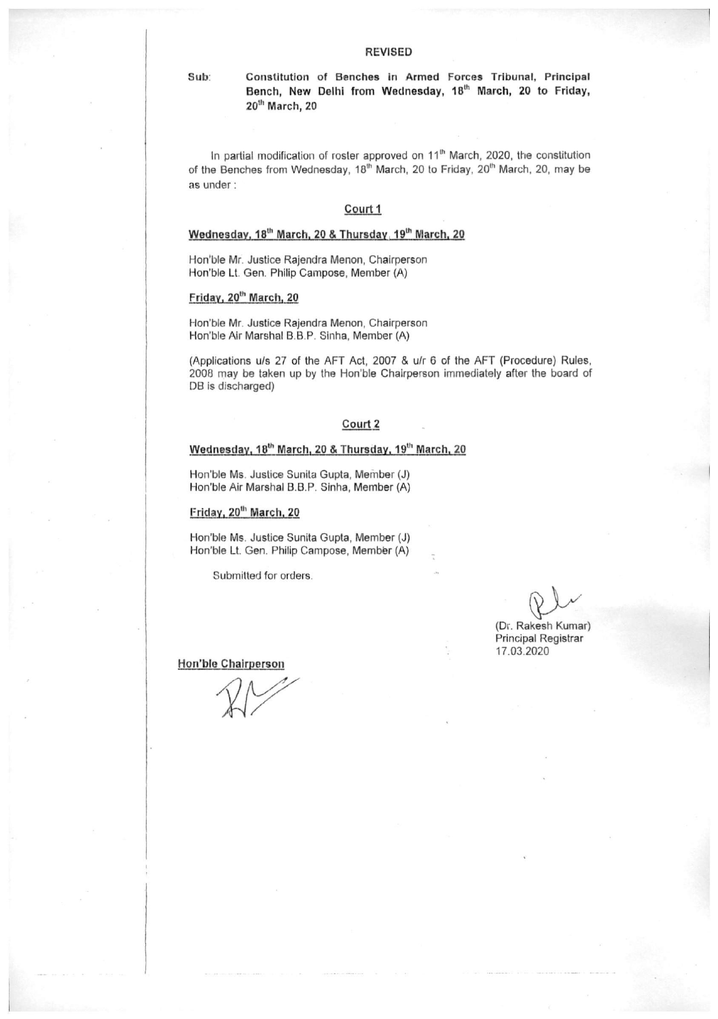Constitution of Benches in Armed Forces Tribunal, Principal Bench, New Delhi from Wednesday, 18th March, 20 to Friday, 20<sup>th</sup> March, 20

In partial modification of roster approved on 11<sup>th</sup> March, 2020, the constitution of the Benches from Wednesday, 18<sup>th</sup> March, 20 to Friday, 20<sup>th</sup> March, 20, may be as under:

#### Court 1

#### Wednesday, 18<sup>th</sup> March, 20 & Thursday, 19<sup>th</sup> March, 20

Hon'ble Mr. Justice Rajendra Menon, Chairperson Hon'ble Lt. Gen. Philip Campose, Member (A)

#### Friday, 20<sup>th</sup> March, 20

Sub:

Hon'ble Mr. Justice Rajendra Menon, Chairperson Hon'ble Air Marshal B.B.P. Sinha, Member (A)

(Applications u/s 27 of the AFT Act, 2007 & u/r 6 of the AFT (Procedure) Rules, 2008 may be taken up by the Hon'ble Chairperson immediately after the board of DB is discharged)

#### Court 2

### Wednesday, 18th March, 20 & Thursday, 19th March, 20

Hon'ble Ms. Justice Sunita Gupta, Member (J) Hon'ble Air Marshal B.B.P. Sinha, Member (A)

#### Friday, 20<sup>th</sup> March, 20

Hon'ble Ms. Justice Sunita Gupta, Member (J) Hon'ble Lt. Gen. Philip Campose, Member (A)

Submitted for orders.

(Dr. Rakesh Kumar) Principal Registrar 17.03.2020

Hon'ble Chairperson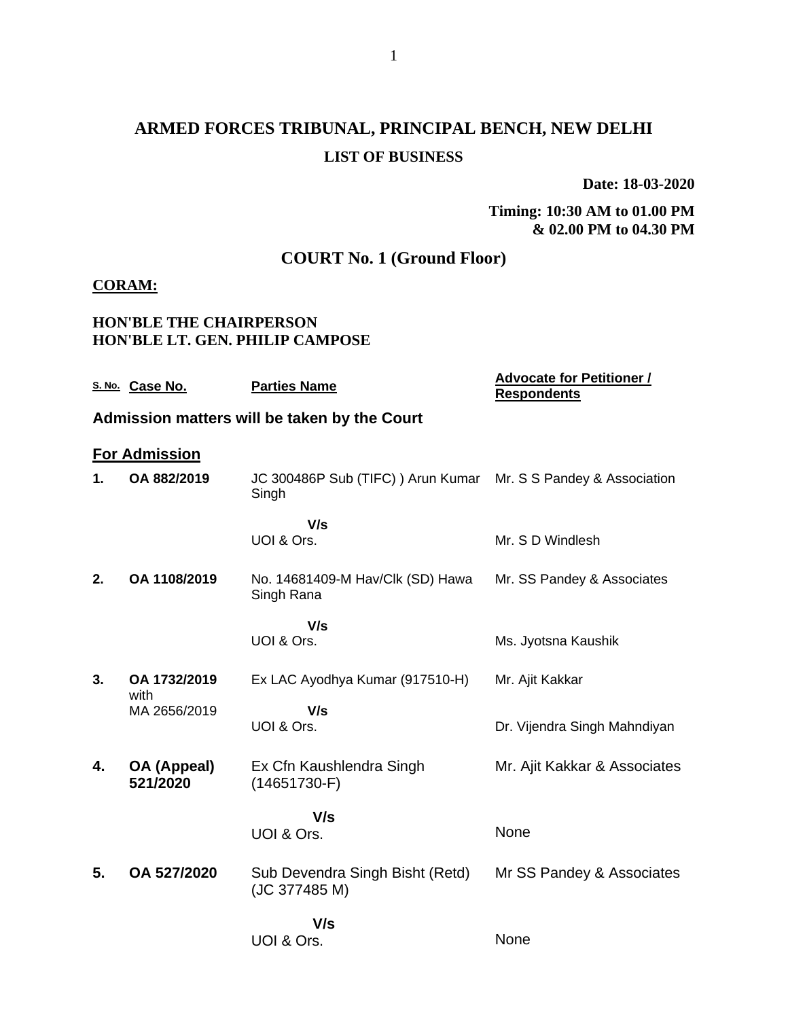# **ARMED FORCES TRIBUNAL, PRINCIPAL BENCH, NEW DELHI LIST OF BUSINESS**

**Date: 18-03-2020**

#### **Timing: 10:30 AM to 01.00 PM & 02.00 PM to 04.30 PM**

## **COURT No. 1 (Ground Floor)**

### **CORAM:**

### **HON'BLE THE CHAIRPERSON HON'BLE LT. GEN. PHILIP CAMPOSE**

|    | S. No. Case No.                | <b>Parties Name</b>                                                      | <b>Advocate for Petitioner /</b><br><b>Respondents</b> |
|----|--------------------------------|--------------------------------------------------------------------------|--------------------------------------------------------|
|    |                                | Admission matters will be taken by the Court                             |                                                        |
|    | <b>For Admission</b>           |                                                                          |                                                        |
| 1. | OA 882/2019                    | JC 300486P Sub (TIFC) ) Arun Kumar Mr. S S Pandey & Association<br>Singh |                                                        |
|    |                                | V/s                                                                      |                                                        |
|    |                                | UOI & Ors.                                                               | Mr. S D Windlesh                                       |
| 2. | OA 1108/2019                   | No. 14681409-M Hav/Clk (SD) Hawa<br>Singh Rana                           | Mr. SS Pandey & Associates                             |
|    |                                | V/s                                                                      |                                                        |
|    |                                | UOI & Ors.                                                               | Ms. Jyotsna Kaushik                                    |
| 3. | OA 1732/2019<br>with           | Ex LAC Ayodhya Kumar (917510-H)                                          | Mr. Ajit Kakkar                                        |
|    | MA 2656/2019                   | V/s<br>UOI & Ors.                                                        |                                                        |
|    |                                |                                                                          | Dr. Vijendra Singh Mahndiyan                           |
| 4. | <b>OA (Appeal)</b><br>521/2020 | Ex Cfn Kaushlendra Singh<br>$(14651730-F)$                               | Mr. Ajit Kakkar & Associates                           |
|    |                                | V/s                                                                      |                                                        |
|    |                                | UOI & Ors.                                                               | None                                                   |
| 5. | OA 527/2020                    | Sub Devendra Singh Bisht (Retd)<br>(JC 377485 M)                         | Mr SS Pandey & Associates                              |
|    |                                | V/s                                                                      |                                                        |
|    |                                | UOI & Ors.                                                               | None                                                   |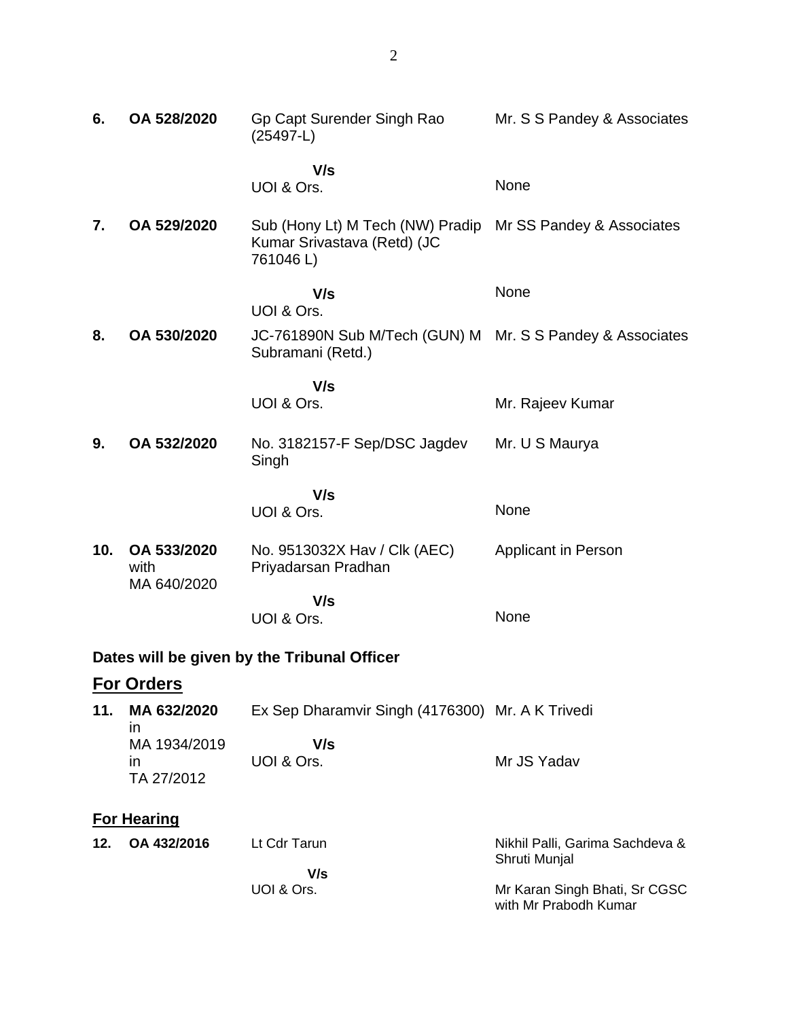| 6.  | OA 528/2020                        | Gp Capt Surender Singh Rao<br>$(25497-L)$                                                             | Mr. S S Pandey & Associates |
|-----|------------------------------------|-------------------------------------------------------------------------------------------------------|-----------------------------|
|     |                                    | V/s<br>UOI & Ors.                                                                                     | None                        |
| 7.  | OA 529/2020                        | Sub (Hony Lt) M Tech (NW) Pradip Mr SS Pandey & Associates<br>Kumar Srivastava (Retd) (JC<br>761046L) |                             |
|     |                                    | V/s<br>UOI & Ors.                                                                                     | None                        |
| 8.  | OA 530/2020                        | JC-761890N Sub M/Tech (GUN) M Mr. S S Pandey & Associates<br>Subramani (Retd.)                        |                             |
|     |                                    | V/s<br>UOI & Ors.                                                                                     | Mr. Rajeev Kumar            |
| 9.  | OA 532/2020                        | No. 3182157-F Sep/DSC Jagdev<br>Singh                                                                 | Mr. U S Maurya              |
|     |                                    | V/s                                                                                                   |                             |
|     |                                    | UOI & Ors.                                                                                            | None                        |
| 10. | OA 533/2020<br>with<br>MA 640/2020 | No. 9513032X Hav / Clk (AEC)<br>Priyadarsan Pradhan                                                   | Applicant in Person         |
|     |                                    | V/s<br>UOI & Ors.                                                                                     | None                        |
|     |                                    |                                                                                                       |                             |
|     |                                    | Dates will be given by the Tribunal Officer                                                           |                             |
|     | For Orders                         |                                                                                                       |                             |
| 11. | MA 632/2020<br>in                  | Ex Sep Dharamvir Singh (4176300) Mr. A K Trivedi                                                      |                             |
|     | MA 1934/2019<br>in<br>TA 27/2012   | V/s<br>UOI & Ors.                                                                                     | Mr JS Yadav                 |

## **For Hearing**

| Lt Cdr Tarun | Nikhil Palli, Garima Sachdeva &                        |
|--------------|--------------------------------------------------------|
|              | Shruti Munial                                          |
| V/s          |                                                        |
| UOI & Ors.   | Mr Karan Singh Bhati, Sr CGSC<br>with Mr Prabodh Kumar |
|              |                                                        |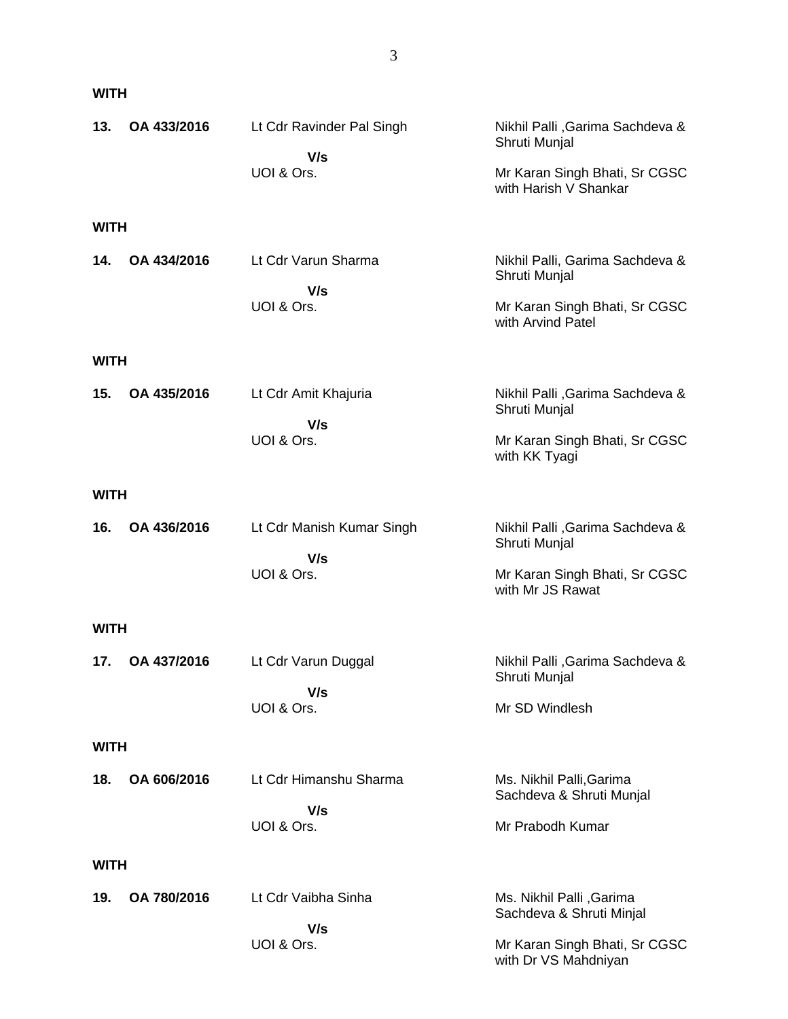## **WITH**

| 13.         | OA 433/2016 | Lt Cdr Ravinder Pal Singh        | Nikhil Palli, Garima Sachdeva &<br>Shruti Munjal       |
|-------------|-------------|----------------------------------|--------------------------------------------------------|
|             |             | V/s<br>UOI & Ors.                | Mr Karan Singh Bhati, Sr CGSC<br>with Harish V Shankar |
| WITH        |             |                                  |                                                        |
| 14.         | OA 434/2016 | Lt Cdr Varun Sharma<br>V/s       | Nikhil Palli, Garima Sachdeva &<br>Shruti Munjal       |
|             |             | UOI & Ors.                       | Mr Karan Singh Bhati, Sr CGSC<br>with Arvind Patel     |
| <b>WITH</b> |             |                                  |                                                        |
| 15.         | OA 435/2016 | Lt Cdr Amit Khajuria<br>V/s      | Nikhil Palli, Garima Sachdeva &<br>Shruti Munjal       |
|             |             | UOI & Ors.                       | Mr Karan Singh Bhati, Sr CGSC<br>with KK Tyagi         |
| WITH        |             |                                  |                                                        |
| 16.         | OA 436/2016 | Lt Cdr Manish Kumar Singh<br>V/s | Nikhil Palli, Garima Sachdeva &<br>Shruti Munjal       |
|             |             | UOI & Ors.                       | Mr Karan Singh Bhati, Sr CGSC<br>with Mr JS Rawat      |
| <b>WITH</b> |             |                                  |                                                        |
| 17.         | OA 437/2016 | Lt Cdr Varun Duggal<br>V/s       | Nikhil Palli, Garima Sachdeva &<br>Shruti Munjal       |
|             |             | UOI & Ors.                       | Mr SD Windlesh                                         |
| WITH        |             |                                  |                                                        |
| 18.         | OA 606/2016 | Lt Cdr Himanshu Sharma           | Ms. Nikhil Palli, Garima<br>Sachdeva & Shruti Munjal   |
|             |             | V/s<br>UOI & Ors.                | Mr Prabodh Kumar                                       |
| WITH        |             |                                  |                                                        |
| 19.         | OA 780/2016 | Lt Cdr Vaibha Sinha              | Ms. Nikhil Palli , Garima<br>Sachdeva & Shruti Minjal  |
|             |             | V/s<br>UOI & Ors.                | Mr Karan Singh Bhati, Sr CGSC<br>with Dr VS Mahdniyan  |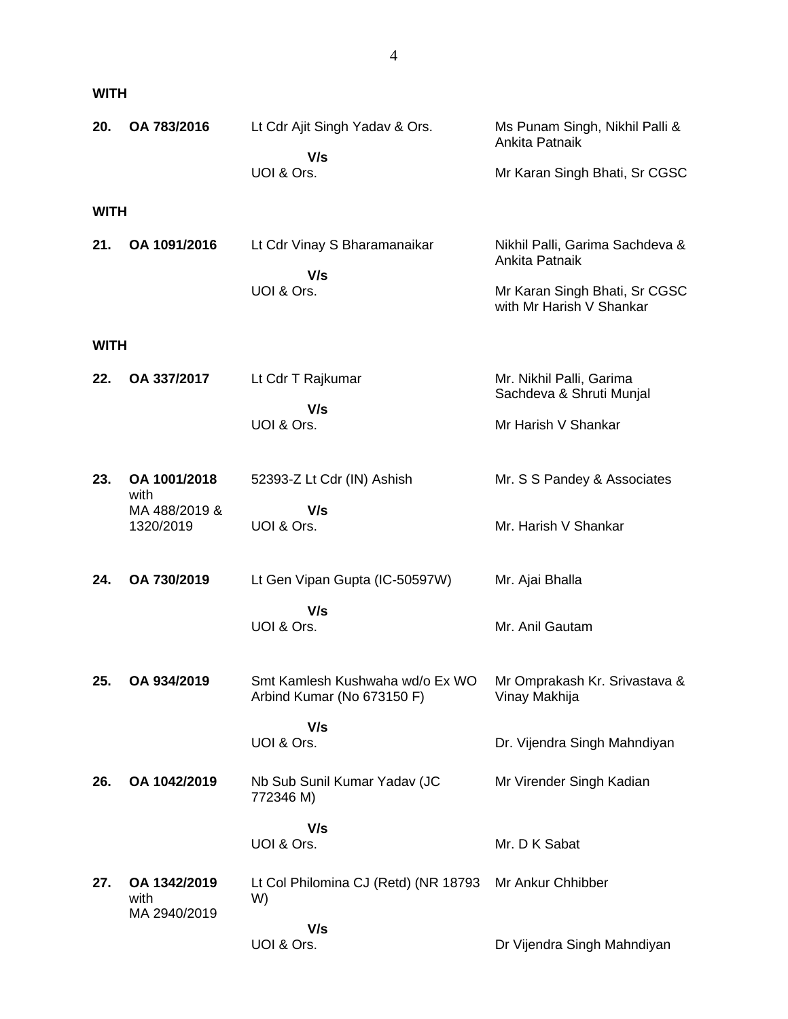| 20.         | OA 783/2016                          | Lt Cdr Ajit Singh Yadav & Ors.                                | Ms Punam Singh, Nikhil Palli &<br>Ankita Patnaik          |
|-------------|--------------------------------------|---------------------------------------------------------------|-----------------------------------------------------------|
|             |                                      | V/s<br>UOI & Ors.                                             | Mr Karan Singh Bhati, Sr CGSC                             |
| <b>WITH</b> |                                      |                                                               |                                                           |
| 21.         | OA 1091/2016                         | Lt Cdr Vinay S Bharamanaikar<br>V/s                           | Nikhil Palli, Garima Sachdeva &<br>Ankita Patnaik         |
|             |                                      | UOI & Ors.                                                    | Mr Karan Singh Bhati, Sr CGSC<br>with Mr Harish V Shankar |
| <b>WITH</b> |                                      |                                                               |                                                           |
| 22.         | OA 337/2017                          | Lt Cdr T Rajkumar                                             | Mr. Nikhil Palli, Garima<br>Sachdeva & Shruti Munjal      |
|             |                                      | V/s<br>UOI & Ors.                                             | Mr Harish V Shankar                                       |
| 23.         | OA 1001/2018<br>with                 | 52393-Z Lt Cdr (IN) Ashish                                    | Mr. S S Pandey & Associates                               |
|             | MA 488/2019 &<br>1320/2019           | V/s<br>UOI & Ors.                                             | Mr. Harish V Shankar                                      |
| 24.         | OA 730/2019                          | Lt Gen Vipan Gupta (IC-50597W)                                | Mr. Ajai Bhalla                                           |
|             |                                      | V/s<br>UOI & Ors.                                             | Mr. Anil Gautam                                           |
| 25.         | OA 934/2019                          | Smt Kamlesh Kushwaha wd/o Ex WO<br>Arbind Kumar (No 673150 F) | Mr Omprakash Kr. Srivastava &<br>Vinay Makhija            |
|             |                                      | V/s<br>UOI & Ors.                                             | Dr. Vijendra Singh Mahndiyan                              |
| 26.         | OA 1042/2019                         | Nb Sub Sunil Kumar Yadav (JC<br>772346 M)                     | Mr Virender Singh Kadian                                  |
|             |                                      | V/s<br>UOI & Ors.                                             | Mr. D K Sabat                                             |
| 27.         | OA 1342/2019<br>with<br>MA 2940/2019 | Lt Col Philomina CJ (Retd) (NR 18793<br>W)                    | Mr Ankur Chhibber                                         |
|             |                                      | V/s<br>UOI & Ors.                                             | Dr Vijendra Singh Mahndiyan                               |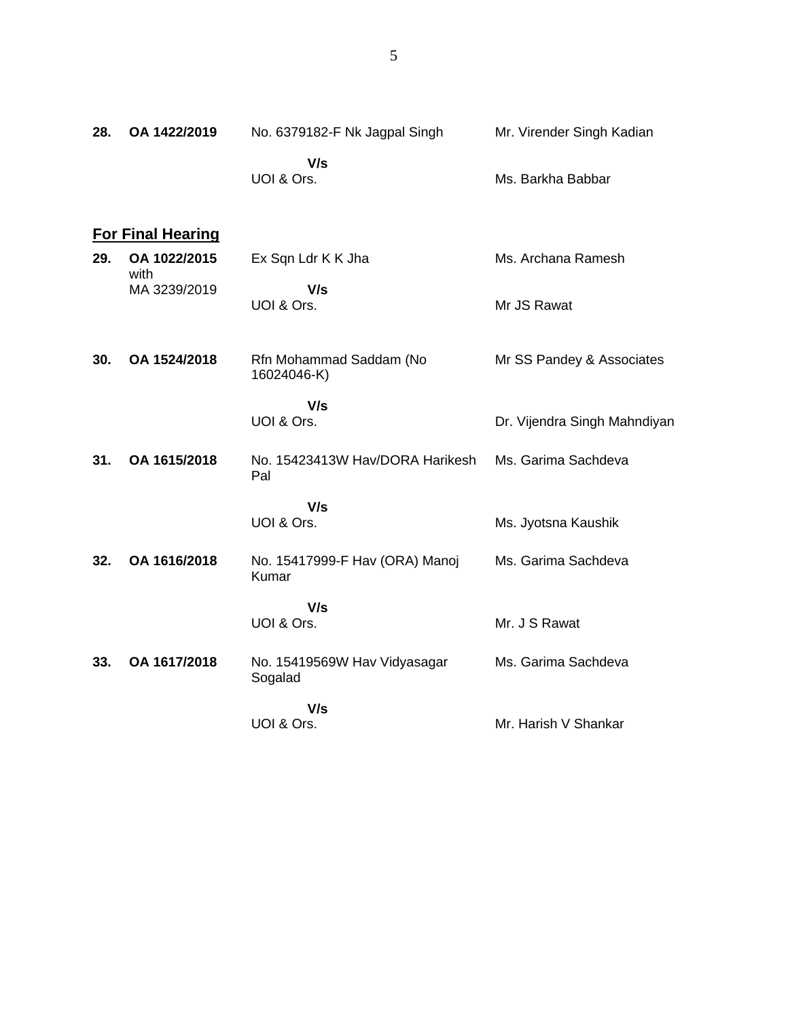| 28. | OA 1422/2019             | No. 6379182-F Nk Jagpal Singh           | Mr. Virender Singh Kadian    |
|-----|--------------------------|-----------------------------------------|------------------------------|
|     |                          | V/s<br>UOI & Ors.                       | Ms. Barkha Babbar            |
|     | <b>For Final Hearing</b> |                                         |                              |
| 29. | OA 1022/2015<br>with     | Ex Sqn Ldr K K Jha                      | Ms. Archana Ramesh           |
|     | MA 3239/2019             | V/s<br>UOI & Ors.                       | Mr JS Rawat                  |
| 30. | OA 1524/2018             | Rfn Mohammad Saddam (No<br>16024046-K)  | Mr SS Pandey & Associates    |
|     |                          | V/s<br>UOI & Ors.                       | Dr. Vijendra Singh Mahndiyan |
| 31. | OA 1615/2018             | No. 15423413W Hav/DORA Harikesh<br>Pal  | Ms. Garima Sachdeva          |
|     |                          | V/s<br>UOI & Ors.                       | Ms. Jyotsna Kaushik          |
| 32. | OA 1616/2018             | No. 15417999-F Hav (ORA) Manoj<br>Kumar | Ms. Garima Sachdeva          |
|     |                          | V/s<br>UOI & Ors.                       | Mr. J S Rawat                |
| 33. | OA 1617/2018             | No. 15419569W Hav Vidyasagar<br>Sogalad | Ms. Garima Sachdeva          |
|     |                          | V/s                                     |                              |
|     |                          | UOI & Ors.                              | Mr. Harish V Shankar         |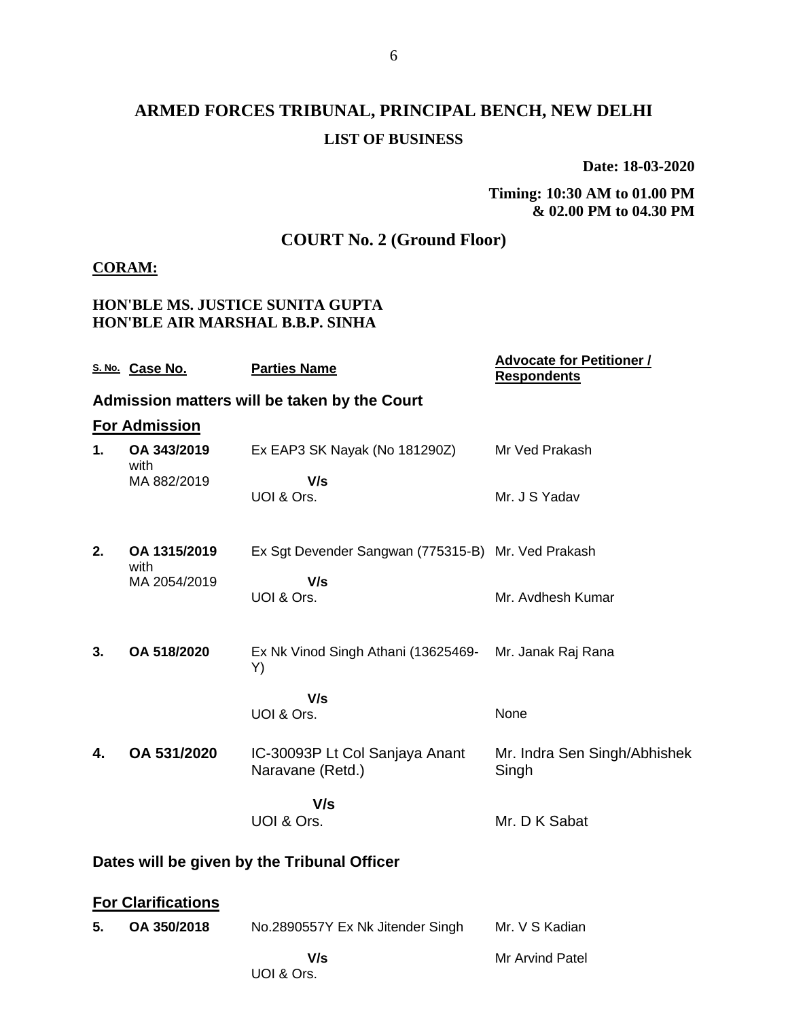# **ARMED FORCES TRIBUNAL, PRINCIPAL BENCH, NEW DELHI LIST OF BUSINESS**

**Date: 18-03-2020**

**Timing: 10:30 AM to 01.00 PM & 02.00 PM to 04.30 PM**

## **COURT No. 2 (Ground Floor)**

### **CORAM:**

### **HON'BLE MS. JUSTICE SUNITA GUPTA HON'BLE AIR MARSHAL B.B.P. SINHA**

|                                             | S. No. Case No.           | <b>Parties Name</b>                                | <b>Advocate for Petitioner /</b><br><b>Respondents</b> |
|---------------------------------------------|---------------------------|----------------------------------------------------|--------------------------------------------------------|
|                                             |                           | Admission matters will be taken by the Court       |                                                        |
|                                             | <b>For Admission</b>      |                                                    |                                                        |
| 1.                                          | OA 343/2019<br>with       | Ex EAP3 SK Nayak (No 181290Z)                      | Mr Ved Prakash                                         |
|                                             | MA 882/2019               | V/s<br>UOI & Ors.                                  | Mr. J S Yadav                                          |
| 2.                                          | OA 1315/2019<br>with      | Ex Sgt Devender Sangwan (775315-B) Mr. Ved Prakash |                                                        |
|                                             | MA 2054/2019              | V/s<br>UOI & Ors.                                  | Mr. Avdhesh Kumar                                      |
| 3.                                          | OA 518/2020               | Ex Nk Vinod Singh Athani (13625469-<br>Y)          | Mr. Janak Raj Rana                                     |
|                                             |                           | V/s<br>UOI & Ors.                                  | None                                                   |
| 4.                                          | OA 531/2020               | IC-30093P Lt Col Sanjaya Anant<br>Naravane (Retd.) | Mr. Indra Sen Singh/Abhishek<br>Singh                  |
|                                             |                           | V/s<br>UOI & Ors.                                  | Mr. D K Sabat                                          |
| Dates will be given by the Tribunal Officer |                           |                                                    |                                                        |
|                                             | <b>For Clarifications</b> |                                                    |                                                        |
| 5.                                          | OA 350/2018               | No.2890557Y Ex Nk Jitender Singh                   | Mr. V S Kadian                                         |
|                                             |                           | V/s                                                | Mr Arvind Patel                                        |

UOI & Ors.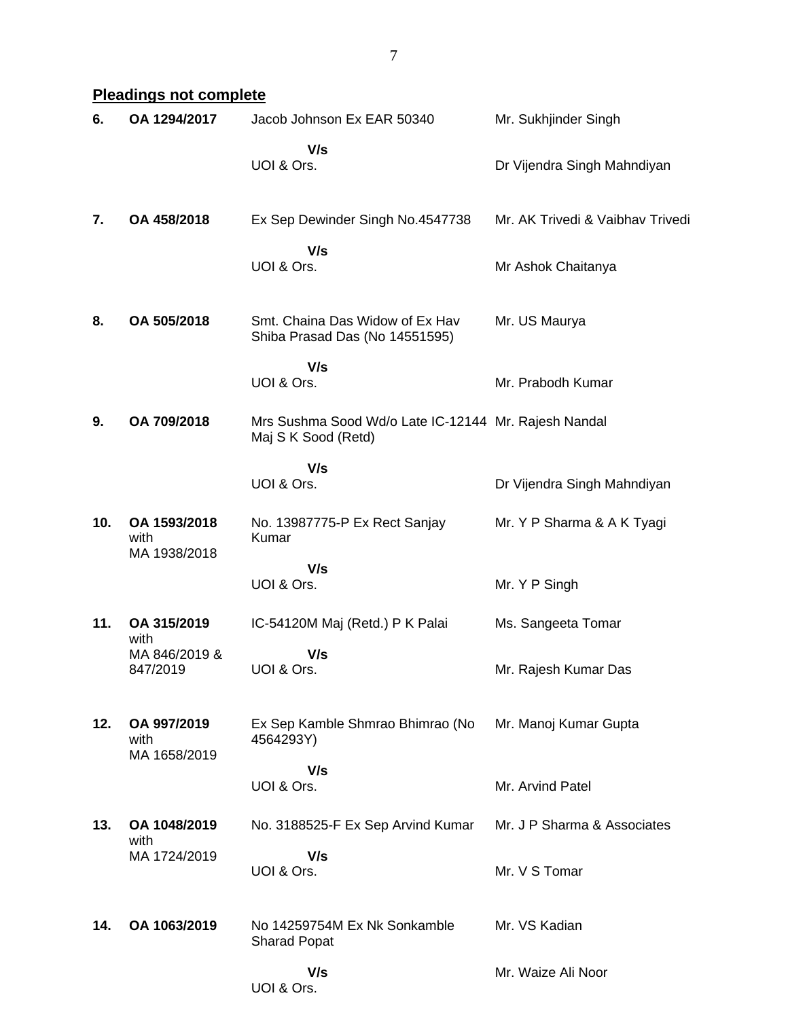7

## **Pleadings not complete**

| 6.  | OA 1294/2017                         | Jacob Johnson Ex EAR 50340                                                  | Mr. Sukhjinder Singh             |
|-----|--------------------------------------|-----------------------------------------------------------------------------|----------------------------------|
|     |                                      | V/s<br>UOI & Ors.                                                           | Dr Vijendra Singh Mahndiyan      |
| 7.  | OA 458/2018                          | Ex Sep Dewinder Singh No.4547738                                            | Mr. AK Trivedi & Vaibhav Trivedi |
|     |                                      | V/s<br>UOI & Ors.                                                           | Mr Ashok Chaitanya               |
| 8.  | OA 505/2018                          | Smt. Chaina Das Widow of Ex Hav<br>Shiba Prasad Das (No 14551595)           | Mr. US Maurya                    |
|     |                                      | V/s<br>UOI & Ors.                                                           | Mr. Prabodh Kumar                |
| 9.  | OA 709/2018                          | Mrs Sushma Sood Wd/o Late IC-12144 Mr. Rajesh Nandal<br>Maj S K Sood (Retd) |                                  |
|     |                                      | V/s<br>UOI & Ors.                                                           | Dr Vijendra Singh Mahndiyan      |
| 10. | OA 1593/2018<br>with<br>MA 1938/2018 | No. 13987775-P Ex Rect Sanjay<br>Kumar                                      | Mr. Y P Sharma & A K Tyagi       |
|     |                                      | V/s<br>UOI & Ors.                                                           | Mr. Y P Singh                    |
| 11. | OA 315/2019<br>with                  | IC-54120M Maj (Retd.) P K Palai                                             | Ms. Sangeeta Tomar               |
|     | MA 846/2019 &<br>847/2019            | V/s<br>UOI & Ors.                                                           | Mr. Rajesh Kumar Das             |
| 12. | OA 997/2019<br>with                  | Ex Sep Kamble Shmrao Bhimrao (No<br>4564293Y)                               | Mr. Manoj Kumar Gupta            |
|     | MA 1658/2019                         | V/s<br>UOI & Ors.                                                           | Mr. Arvind Patel                 |
| 13. | OA 1048/2019<br>with                 | No. 3188525-F Ex Sep Arvind Kumar                                           | Mr. J P Sharma & Associates      |
|     | MA 1724/2019                         | V/s<br>UOI & Ors.                                                           | Mr. V S Tomar                    |
| 14. | OA 1063/2019                         | No 14259754M Ex Nk Sonkamble<br><b>Sharad Popat</b>                         | Mr. VS Kadian                    |
|     |                                      | V/s<br>UOI & Ors.                                                           | Mr. Waize Ali Noor               |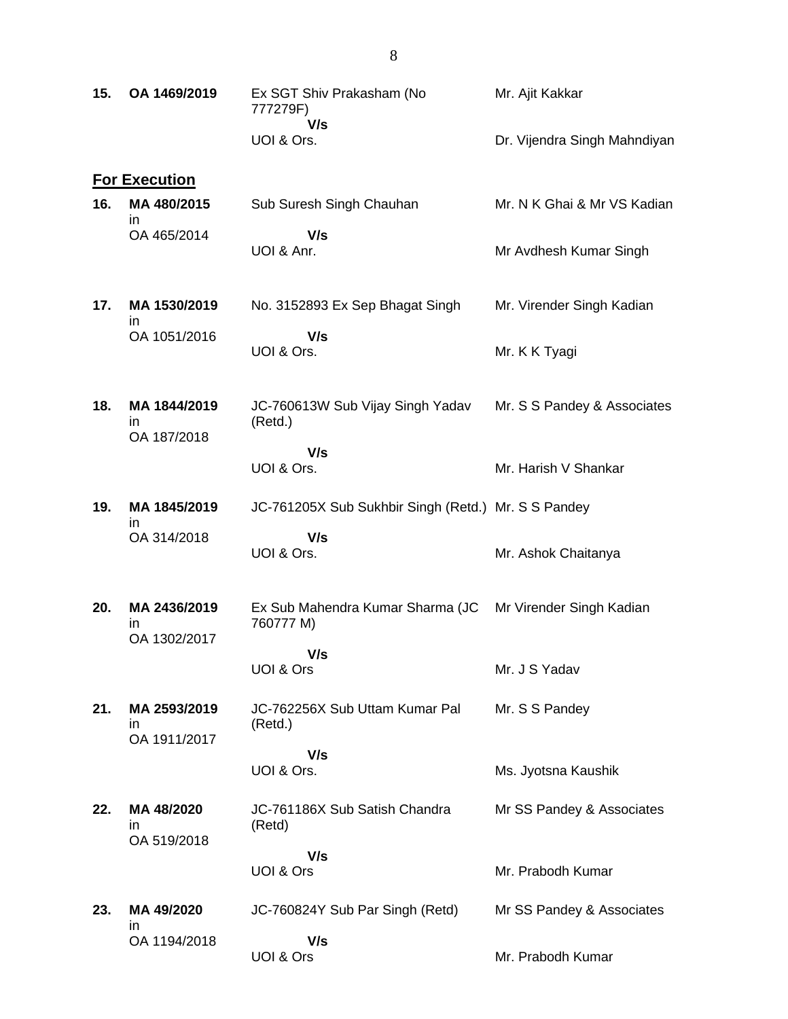| 15. | OA 1469/2019                       | Ex SGT Shiv Prakasham (No<br>777279F)               | Mr. Ajit Kakkar              |
|-----|------------------------------------|-----------------------------------------------------|------------------------------|
|     |                                    | V/s<br>UOI & Ors.                                   | Dr. Vijendra Singh Mahndiyan |
|     | <b>For Execution</b>               |                                                     |                              |
| 16. | MA 480/2015<br>in.                 | Sub Suresh Singh Chauhan                            | Mr. N K Ghai & Mr VS Kadian  |
|     | OA 465/2014                        | V/s<br>UOI & Anr.                                   | Mr Avdhesh Kumar Singh       |
| 17. | MA 1530/2019<br>in.                | No. 3152893 Ex Sep Bhagat Singh                     | Mr. Virender Singh Kadian    |
|     | OA 1051/2016                       | V/s<br>UOI & Ors.                                   | Mr. K K Tyagi                |
| 18. | MA 1844/2019<br>in.<br>OA 187/2018 | JC-760613W Sub Vijay Singh Yadav<br>(Retd.)         | Mr. S S Pandey & Associates  |
|     |                                    | V/s<br>UOI & Ors.                                   | Mr. Harish V Shankar         |
| 19. | MA 1845/2019<br>in                 | JC-761205X Sub Sukhbir Singh (Retd.) Mr. S S Pandey |                              |
|     | OA 314/2018                        | V/s<br>UOI & Ors.                                   | Mr. Ashok Chaitanya          |
| 20. | MA 2436/2019<br>in<br>OA 1302/2017 | Ex Sub Mahendra Kumar Sharma (JC<br>760777 M)       | Mr Virender Singh Kadian     |
|     |                                    | V/s<br>UOI & Ors                                    | Mr. J S Yadav                |
| 21. | MA 2593/2019<br>ın                 | JC-762256X Sub Uttam Kumar Pal<br>(Retd.)           | Mr. S S Pandey               |
|     | OA 1911/2017                       | V/s<br>UOI & Ors.                                   | Ms. Jyotsna Kaushik          |
| 22. | MA 48/2020<br>ın<br>OA 519/2018    | JC-761186X Sub Satish Chandra<br>(Retd)             | Mr SS Pandey & Associates    |
|     |                                    | V/s<br>UOI & Ors                                    | Mr. Prabodh Kumar            |
| 23. | MA 49/2020                         | JC-760824Y Sub Par Singh (Retd)                     | Mr SS Pandey & Associates    |
|     | ın<br>OA 1194/2018                 | V/s<br>UOI & Ors                                    | Mr. Prabodh Kumar            |